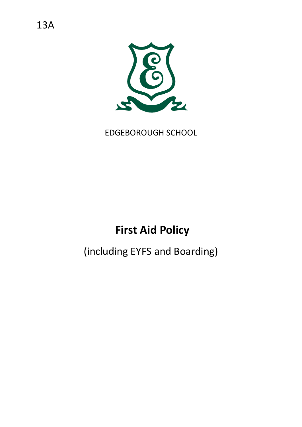

EDGEBOROUGH SCHOOL

# **First Aid Policy**

# (including EYFS and Boarding)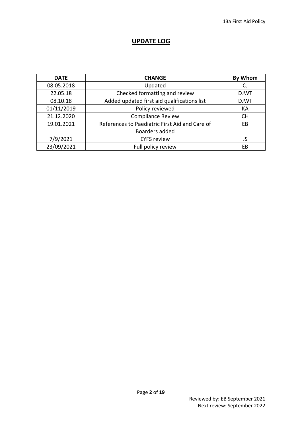# **UPDATE LOG**

| <b>DATE</b> | <b>CHANGE</b>                                  | <b>By Whom</b> |
|-------------|------------------------------------------------|----------------|
| 08.05.2018  | Updated                                        | CJ             |
| 22.05.18    | Checked formatting and review                  | <b>DJWT</b>    |
| 08.10.18    | Added updated first aid qualifications list    | <b>DJWT</b>    |
| 01/11/2019  | Policy reviewed                                | KA             |
| 21.12.2020  | <b>Compliance Review</b>                       | <b>CH</b>      |
| 19.01.2021  | References to Paediatric First Aid and Care of | EB             |
|             | Boarders added                                 |                |
| 7/9/2021    | <b>EYFS review</b>                             | JS             |
| 23/09/2021  | Full policy review                             | EB             |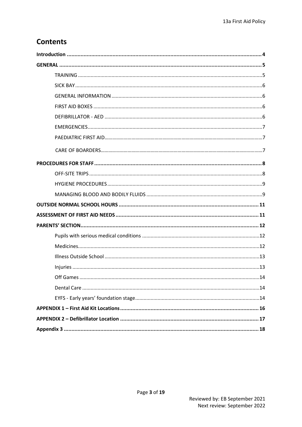# **Contents**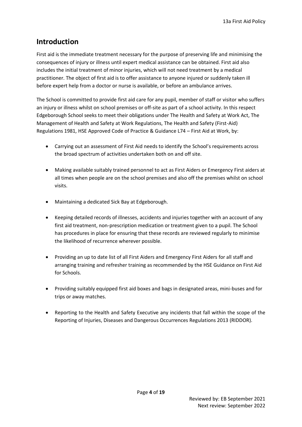# <span id="page-3-0"></span>**Introduction**

First aid is the immediate treatment necessary for the purpose of preserving life and minimising the consequences of injury or illness until expert medical assistance can be obtained. First aid also includes the initial treatment of minor injuries, which will not need treatment by a medical practitioner. The object of first aid is to offer assistance to anyone injured or suddenly taken ill before expert help from a doctor or nurse is available, or before an ambulance arrives.

The School is committed to provide first aid care for any pupil, member of staff or visitor who suffers an injury or illness whilst on school premises or off-site as part of a school activity. In this respect Edgeborough School seeks to meet their obligations under The Health and Safety at Work Act, The Management of Health and Safety at Work Regulations, The Health and Safety (First-Aid) Regulations 1981, HSE Approved Code of Practice & Guidance L74 – First Aid at Work, by:

- Carrying out an assessment of First Aid needs to identify the School's requirements across the broad spectrum of activities undertaken both on and off site.
- Making available suitably trained personnel to act as First Aiders or Emergency First aiders at all times when people are on the school premises and also off the premises whilst on school visits.
- Maintaining a dedicated Sick Bay at Edgeborough.
- Keeping detailed records of illnesses, accidents and injuries together with an account of any first aid treatment, non-prescription medication or treatment given to a pupil. The School has procedures in place for ensuring that these records are reviewed regularly to minimise the likelihood of recurrence wherever possible.
- Providing an up to date list of all First Aiders and Emergency First Aiders for all staff and arranging training and refresher training as recommended by the HSE Guidance on First Aid for Schools.
- Providing suitably equipped first aid boxes and bags in designated areas, mini-buses and for trips or away matches.
- Reporting to the Health and Safety Executive any incidents that fall within the scope of the Reporting of Injuries, Diseases and Dangerous Occurrences Regulations 2013 (RIDDOR).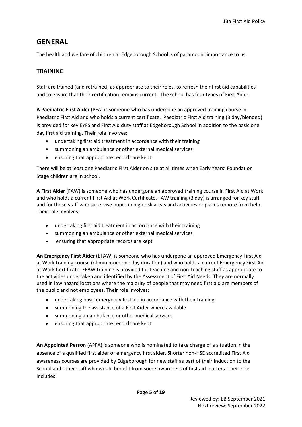# <span id="page-4-0"></span>**GENERAL**

The health and welfare of children at Edgeborough School is of paramount importance to us.

# <span id="page-4-1"></span>**TRAINING**

Staff are trained (and retrained) as appropriate to their roles, to refresh their first aid capabilities and to ensure that their certification remains current. The school has four types of First Aider:

**A Paediatric First Aider** (PFA) is someone who has undergone an approved training course in Paediatric First Aid and who holds a current certificate. Paediatric First Aid training (3 day/blended) is provided for key EYFS and First Aid duty staff at Edgeborough School in addition to the basic one day first aid training. Their role involves:

- undertaking first aid treatment in accordance with their training
- summoning an ambulance or other external medical services
- ensuring that appropriate records are kept

There will be at least one Paediatric First Aider on site at all times when Early Years' Foundation Stage children are in school.

**A First Aider** (FAW) is someone who has undergone an approved training course in First Aid at Work and who holds a current First Aid at Work Certificate. FAW training (3 day) is arranged for key staff and for those staff who supervise pupils in high risk areas and activities or places remote from help. Their role involves:

- undertaking first aid treatment in accordance with their training
- summoning an ambulance or other external medical services
- ensuring that appropriate records are kept

**An Emergency First Aider** (EFAW) is someone who has undergone an approved Emergency First Aid at Work training course (of minimum one day duration) and who holds a current Emergency First Aid at Work Certificate. EFAW training is provided for teaching and non-teaching staff as appropriate to the activities undertaken and identified by the Assessment of First Aid Needs. They are normally used in low hazard locations where the majority of people that may need first aid are members of the public and not employees. Their role involves:

- undertaking basic emergency first aid in accordance with their training
- summoning the assistance of a First Aider where available
- summoning an ambulance or other medical services
- ensuring that appropriate records are kept

**An Appointed Person** (APFA) is someone who is nominated to take charge of a situation in the absence of a qualified first aider or emergency first aider. Shorter non-HSE accredited First Aid awareness courses are provided by Edgeborough for new staff as part of their Induction to the School and other staff who would benefit from some awareness of first aid matters. Their role includes: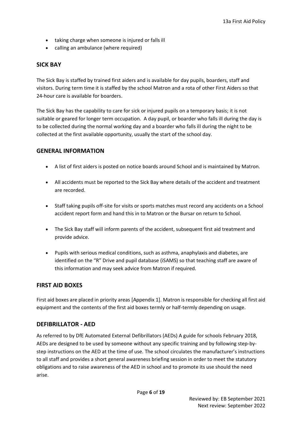- taking charge when someone is injured or falls ill
- calling an ambulance (where required)

### <span id="page-5-0"></span>**SICK BAY**

The Sick Bay is staffed by trained first aiders and is available for day pupils, boarders, staff and visitors. During term time it is staffed by the school Matron and a rota of other First Aiders so that 24-hour care is available for boarders.

The Sick Bay has the capability to care for sick or injured pupils on a temporary basis; it is not suitable or geared for longer term occupation. A day pupil, or boarder who falls ill during the day is to be collected during the normal working day and a boarder who falls ill during the night to be collected at the first available opportunity, usually the start of the school day.

### <span id="page-5-1"></span>**GENERAL INFORMATION**

- A list of first aiders is posted on notice boards around School and is maintained by Matron.
- All accidents must be reported to the Sick Bay where details of the accident and treatment are recorded.
- Staff taking pupils off-site for visits or sports matches must record any accidents on a School accident report form and hand this in to Matron or the Bursar on return to School.
- The Sick Bay staff will inform parents of the accident, subsequent first aid treatment and provide advice.
- Pupils with serious medical conditions, such as asthma, anaphylaxis and diabetes, are identified on the "R" Drive and pupil database (iSAMS) so that teaching staff are aware of this information and may seek advice from Matron if required.

### <span id="page-5-2"></span>**FIRST AID BOXES**

First aid boxes are placed in priority areas [Appendix 1]. Matron is responsible for checking all first aid equipment and the contents of the first aid boxes termly or half-termly depending on usage.

### <span id="page-5-3"></span>**DEFIBRILLATOR - AED**

As referred to by DfE Automated External Defibrillators (AEDs) A guide for schools February 2018, AEDs are designed to be used by someone without any specific training and by following step-bystep instructions on the AED at the time of use. The school circulates the manufacturer's instructions to all staff and provides a short general awareness briefing session in order to meet the statutory obligations and to raise awareness of the AED in school and to promote its use should the need arise.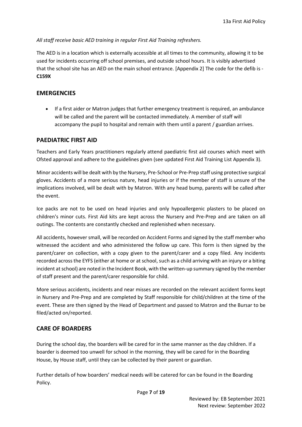*All staff receive basic AED training in regular First Aid Training refreshers.*

The AED is in a location which is externally accessible at all times to the community, allowing it to be used for incidents occurring off school premises, and outside school hours. It is visibly advertised that the school site has an AED on the main school entrance. [Appendix 2] The code for the defib is - **C159X**

## <span id="page-6-0"></span>**EMERGENCIES**

• If a first aider or Matron judges that further emergency treatment is required, an ambulance will be called and the parent will be contacted immediately. A member of staff will accompany the pupil to hospital and remain with them until a parent / guardian arrives.

# **PAEDIATRIC FIRST AID**

Teachers and Early Years practitioners regularly attend paediatric first aid courses which meet with Ofsted approval and adhere to the guidelines given (see updated First Aid Training List Appendix 3).

Minor accidents will be dealt with by the Nursery, Pre-School or Pre-Prep staff using protective surgical gloves. Accidents of a more serious nature, head injuries or if the member of staff is unsure of the implications involved, will be dealt with by Matron. With any head bump, parents will be called after the event.

Ice packs are not to be used on head injuries and only hypoallergenic plasters to be placed on children's minor cuts. First Aid kits are kept across the Nursery and Pre-Prep and are taken on all outings. The contents are constantly checked and replenished when necessary.

All accidents, however small, will be recorded on Accident Forms and signed by the staff member who witnessed the accident and who administered the follow up care. This form is then signed by the parent/carer on collection, with a copy given to the parent/carer and a copy filed. Any incidents recorded across the EYFS (either at home or at school, such as a child arriving with an injury or a biting incident at school) are noted in the Incident Book, with the written-up summary signed by the member of staff present and the parent/carer responsible for child.

More serious accidents, incidents and near misses are recorded on the relevant accident forms kept in Nursery and Pre-Prep and are completed by Staff responsible for child/children at the time of the event. These are then signed by the Head of Department and passed to Matron and the Bursar to be filed/acted on/reported.

# **CARE OF BOARDERS**

During the school day, the boarders will be cared for in the same manner as the day children. If a boarder is deemed too unwell for school in the morning, they will be cared for in the Boarding House, by House staff, until they can be collected by their parent or guardian.

Further details of how boarders' medical needs will be catered for can be found in the Boarding Policy.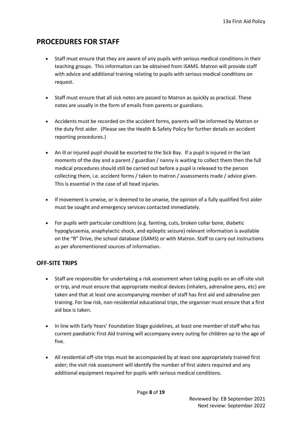# <span id="page-7-0"></span>**PROCEDURES FOR STAFF**

- Staff must ensure that they are aware of any pupils with serious medical conditions in their teaching groups. This information can be obtained from iSAMS. Matron will provide staff with advice and additional training relating to pupils with serious medical conditions on request.
- Staff must ensure that all sick notes are passed to Matron as quickly as practical. These notes are usually in the form of emails from parents or guardians.
- Accidents must be recorded on the accident forms, parents will be informed by Matron or the duty first aider. (Please see the Health & Safety Policy for further details on accident reporting procedures.)
- An ill or injured pupil should be escorted to the Sick Bay. If a pupil is injured in the last moments of the day and a parent / guardian / nanny is waiting to collect them then the full medical procedures should still be carried out before a pupil is released to the person collecting them, i.e. accident forms / taken to matron / assessments made / advice given. This is essential in the case of all head injuries.
- If movement is unwise, or is deemed to be unwise, the opinion of a fully qualified first aider must be sought and emergency services contacted immediately.
- For pupils with particular conditions (e.g. fainting, cuts, broken collar bone, diabetic hypoglycaemia, anaphylactic shock, and epileptic seizure) relevant information is available on the "R" Drive, the school database (iSAMS) or with Matron. Staff to carry out instructions as per aforementioned sources of information.

# <span id="page-7-1"></span>**OFF-SITE TRIPS**

- Staff are responsible for undertaking a risk assessment when taking pupils on an off-site visit or trip, and must ensure that appropriate medical devices (inhalers, adrenaline pens, etc) are taken and that at least one accompanying member of staff has first aid and adrenaline pen training. For low risk, non-residential educational trips, the organiser must ensure that a first aid box is taken.
- In line with Early Years' Foundation Stage guidelines, at least one member of staff who has current paediatric First Aid training will accompany every outing for children up to the age of five.
- All residential off-site trips must be accompanied by at least one appropriately trained first aider; the visit risk assessment will identify the number of first aiders required and any additional equipment required for pupils with serious medical conditions.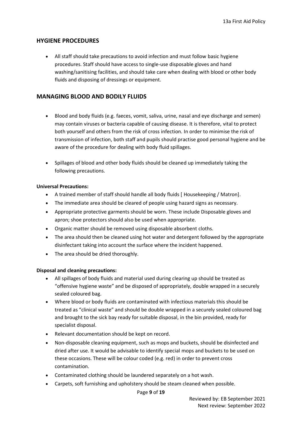#### <span id="page-8-0"></span>**HYGIENE PROCEDURES**

• All staff should take precautions to avoid infection and must follow basic hygiene procedures. Staff should have access to single-use disposable gloves and hand washing/sanitising facilities, and should take care when dealing with blood or other body fluids and disposing of dressings or equipment.

#### <span id="page-8-1"></span>**MANAGING BLOOD AND BODILY FLUIDS**

- Blood and body fluids (e.g. faeces, vomit, saliva, urine, nasal and eye discharge and semen) may contain viruses or bacteria capable of causing disease. It is therefore, vital to protect both yourself and others from the risk of cross infection. In order to minimise the risk of transmission of infection, both staff and pupils should practise good personal hygiene and be aware of the procedure for dealing with body fluid spillages.
- Spillages of blood and other body fluids should be cleaned up immediately taking the following precautions.

#### **Universal Precautions:**

- A trained member of staff should handle all body fluids [ Housekeeping / Matron].
- The immediate area should be cleared of people using hazard signs as necessary.
- Appropriate protective garments should be worn. These include Disposable gloves and apron; shoe protectors should also be used when appropriate.
- Organic matter should be removed using disposable absorbent cloths.
- The area should then be cleaned using hot water and detergent followed by the appropriate disinfectant taking into account the surface where the incident happened.
- The area should be dried thoroughly.

#### **Disposal and cleaning precautions:**

- All spillages of body fluids and material used during clearing up should be treated as "offensive hygiene waste" and be disposed of appropriately, double wrapped in a securely sealed coloured bag.
- Where blood or body fluids are contaminated with infectious materials this should be treated as "clinical waste" and should be double wrapped in a securely sealed coloured bag and brought to the sick bay ready for suitable disposal, in the bin provided, ready for specialist disposal.
- Relevant documentation should be kept on record.
- Non-disposable cleaning equipment, such as mops and buckets, should be disinfected and dried after use. It would be advisable to identify special mops and buckets to be used on these occasions. These will be colour coded (e.g. red) in order to prevent cross contamination.
- Contaminated clothing should be laundered separately on a hot wash.
- Carpets, soft furnishing and upholstery should be steam cleaned when possible.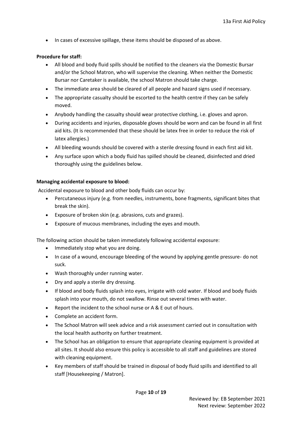• In cases of excessive spillage, these items should be disposed of as above.

#### **Procedure for staff:**

- All blood and body fluid spills should be notified to the cleaners via the Domestic Bursar and/or the School Matron, who will supervise the cleaning. When neither the Domestic Bursar nor Caretaker is available, the school Matron should take charge.
- The immediate area should be cleared of all people and hazard signs used if necessary.
- The appropriate casualty should be escorted to the health centre if they can be safely moved.
- Anybody handling the casualty should wear protective clothing, i.e. gloves and apron.
- During accidents and injuries, disposable gloves should be worn and can be found in all first aid kits. (It is recommended that these should be latex free in order to reduce the risk of latex allergies.)
- All bleeding wounds should be covered with a sterile dressing found in each first aid kit.
- Any surface upon which a body fluid has spilled should be cleaned, disinfected and dried thoroughly using the guidelines below.

#### **Managing accidental exposure to blood:**

Accidental exposure to blood and other body fluids can occur by:

- Percutaneous injury (e.g. from needles, instruments, bone fragments, significant bites that break the skin).
- Exposure of broken skin (e.g. abrasions, cuts and grazes).
- Exposure of mucous membranes, including the eyes and mouth.

The following action should be taken immediately following accidental exposure:

- Immediately stop what you are doing.
- In case of a wound, encourage bleeding of the wound by applying gentle pressure- do not suck.
- Wash thoroughly under running water.
- Dry and apply a sterile dry dressing.
- If blood and body fluids splash into eyes, irrigate with cold water. If blood and body fluids splash into your mouth, do not swallow. Rinse out several times with water.
- Report the incident to the school nurse or A & E out of hours.
- Complete an accident form.
- The School Matron will seek advice and a risk assessment carried out in consultation with the local health authority on further treatment.
- The School has an obligation to ensure that appropriate cleaning equipment is provided at all sites. It should also ensure this policy is accessible to all staff and guidelines are stored with cleaning equipment.
- Key members of staff should be trained in disposal of body fluid spills and identified to all staff [Housekeeping / Matron].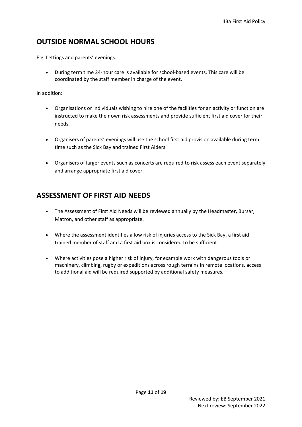# <span id="page-10-0"></span>**OUTSIDE NORMAL SCHOOL HOURS**

E.g. Lettings and parents' evenings.

• During term time 24-hour care is available for school-based events. This care will be coordinated by the staff member in charge of the event.

In addition:

- Organisations or individuals wishing to hire one of the facilities for an activity or function are instructed to make their own risk assessments and provide sufficient first aid cover for their needs.
- Organisers of parents' evenings will use the school first aid provision available during term time such as the Sick Bay and trained First Aiders.
- Organisers of larger events such as concerts are required to risk assess each event separately and arrange appropriate first aid cover.

# <span id="page-10-1"></span>**ASSESSMENT OF FIRST AID NEEDS**

- The Assessment of First Aid Needs will be reviewed annually by the Headmaster, Bursar, Matron, and other staff as appropriate.
- Where the assessment identifies a low risk of injuries access to the Sick Bay, a first aid trained member of staff and a first aid box is considered to be sufficient.
- Where activities pose a higher risk of injury, for example work with dangerous tools or machinery, climbing, rugby or expeditions across rough terrains in remote locations, access to additional aid will be required supported by additional safety measures.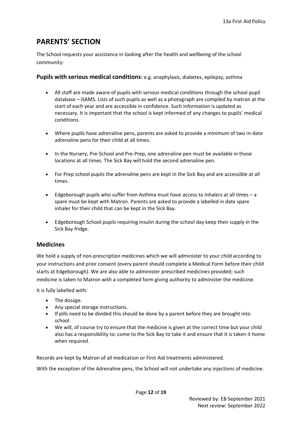# <span id="page-11-0"></span>**PARENTS' SECTION**

The School requests your assistance in looking after the health and wellbeing of the school community:

<span id="page-11-1"></span>**Pupils with serious medical conditions:** e.g. anaphylaxis, diabetes, epilepsy, asthma

- All staff are made aware of pupils with serious medical conditions through the school pupil database – iSAMS. Lists of such pupils as well as a photograph are compiled by matron at the start of each year and are accessible in confidence. Such information is updated as necessary. It is important that the school is kept informed of any changes to pupils' medical conditions.
- Where pupils have adrenaline pens, parents are asked to provide a minimum of two in-date adrenaline pens for their child at all times.
- In the Nursery, Pre-School and Pre-Prep, one adrenaline pen must be available in those locations at all times. The Sick Bay will hold the second adrenaline pen.
- For Prep school pupils the adrenaline pens are kept in the Sick Bay and are accessible at all times.
- Edgeborough pupils who suffer from Asthma must have access to inhalers at all times a spare must be kept with Matron. Parents are asked to provide a labelled in date spare inhaler for their child that can be kept in the Sick Bay.
- Edgeborough School pupils requiring insulin during the school day keep their supply in the Sick Bay fridge.

### <span id="page-11-2"></span>**Medicines**

We hold a supply of non-prescription medicines which we will administer to your child according to your instructions and prior consent (every parent should complete a Medical Form before their child starts at Edgeborough). We are also able to administer prescribed medicines provided; such medicine is taken to Matron with a completed form giving authority to administer the medicine.

It is fully labelled with:

- The dosage.
- Any special storage instructions.
- If pills need to be divided this should be done by a parent before they are brought into school.
- We will, of course try to ensure that the medicine is given at the correct time but your child also has a responsibility to: come to the Sick Bay to take it and ensure that it is taken it home when required.

Records are kept by Matron of all medication or First Aid treatments administered.

With the exception of the Adrenaline pens, the School will not undertake any injections of medicine.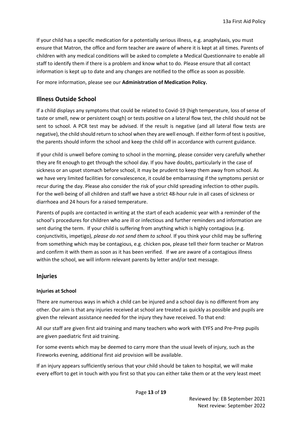If your child has a specific medication for a potentially serious illness, e.g. anaphylaxis, you must ensure that Matron, the office and form teacher are aware of where it is kept at all times. Parents of children with any medical conditions will be asked to complete a Medical Questionnaire to enable all staff to identify them if there is a problem and know what to do. Please ensure that all contact information is kept up to date and any changes are notified to the office as soon as possible.

For more information, please see our **Administration of Medication Policy.**

### <span id="page-12-0"></span>**Illness Outside School**

If a child displays any symptoms that could be related to Covid-19 (high temperature, loss of sense of taste or smell, new or persistent cough) or tests positive on a lateral flow test, the child should not be sent to school. A PCR test may be advised. If the result is negative (and all lateral flow tests are negative), the child should return to school when they are well enough. If either form of test is positive, the parents should inform the school and keep the child off in accordance with current guidance.

If your child is unwell before coming to school in the morning, please consider very carefully whether they are fit enough to get through the school day. If you have doubts, particularly in the case of sickness or an upset stomach before school, it may be prudent to keep them away from school. As we have very limited facilities for convalescence, it could be embarrassing if the symptoms persist or recur during the day. Please also consider the risk of your child spreading infection to other pupils. For the well-being of all children and staff we have a strict 48-hour rule in all cases of sickness or diarrhoea and 24 hours for a raised temperature.

Parents of pupils are contacted in writing at the start of each academic year with a reminder of the school's procedures for children who are ill or infectious and further reminders and information are sent during the term. If your child is suffering from anything which is highly contagious (e.g. conjunctivitis, impetigo), *please do not send them to school*. If you think your child may be suffering from something which may be contagious, e.g. chicken pox, please tell their form teacher or Matron and confirm it with them as soon as it has been verified. If we are aware of a contagious illness within the school, we will inform relevant parents by letter and/or text message.

### <span id="page-12-1"></span>**Injuries**

#### **Injuries at School**

There are numerous ways in which a child can be injured and a school day is no different from any other. Our aim is that any injuries received at school are treated as quickly as possible and pupils are given the relevant assistance needed for the injury they have received. To that end:

All our staff are given first aid training and many teachers who work with EYFS and Pre-Prep pupils are given paediatric first aid training.

For some events which may be deemed to carry more than the usual levels of injury, such as the Fireworks evening, additional first aid provision will be available.

If an injury appears sufficiently serious that your child should be taken to hospital, we will make every effort to get in touch with you first so that you can either take them or at the very least meet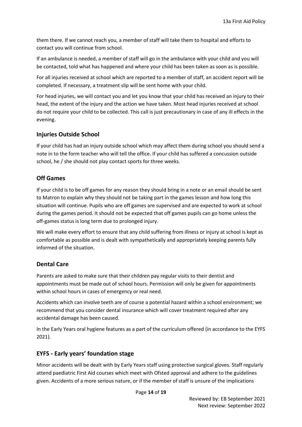them there. If we cannot reach you, a member of staff will take them to hospital and efforts to contact you will continue from school.

If an ambulance is needed, a member of staff will go in the ambulance with your child and you will be contacted, told what has happened and where your child has been taken as soon as is possible.

For all injuries received at school which are reported to a member of staff, an accident report will be completed. If necessary, a treatment slip will be sent home with your child.

For head injuries, we will contact you and let you know that your child has received an injury to their head, the extent of the injury and the action we have taken. Most head injuries received at school do not require your child to be collected. This call is just precautionary in case of any ill effects in the evening.

### **Injuries Outside School**

If your child has had an injury outside school which may affect them during school you should send a note in to the form teacher who will tell the office. If your child has suffered a concussion outside school, he / she should not play contact sports for three weeks.

### <span id="page-13-0"></span>**Off Games**

If your child is to be off games for any reason they should bring in a note or an email should be sent to Matron to explain why they should not be taking part in the games lesson and how long this situation will continue. Pupils who are off games are supervised and are expected to work at school during the games period. It should not be expected that off games pupils can go home unless the off-games status is long term due to prolonged injury.

We will make every effort to ensure that any child suffering from illness or injury at school is kept as comfortable as possible and is dealt with sympathetically and appropriately keeping parents fully informed of the situation.

### <span id="page-13-1"></span>**Dental Care**

Parents are asked to make sure that their children pay regular visits to their dentist and appointments must be made out of school hours. Permission will only be given for appointments within school hours in cases of emergency or real need.

Accidents which can involve teeth are of course a potential hazard within a school environment; we recommend that you consider dental insurance which will cover treatment required after any accidental damage has been caused.

In the Early Years oral hygiene features as a part of the curriculum offered (in accordance to the EYFS 2021).

### <span id="page-13-2"></span>**EYFS - Early years' foundation stage**

Minor accidents will be dealt with by Early Years staff using protective surgical gloves. Staff regularly attend paediatric First Aid courses which meet with Ofsted approval and adhere to the guidelines given. Accidents of a more serious nature, or if the member of staff is unsure of the implications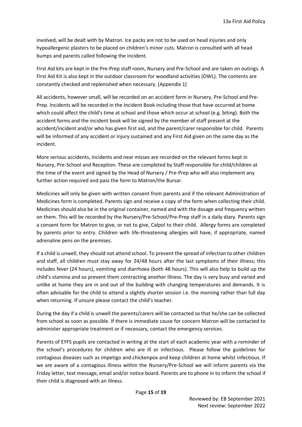involved, will be dealt with by Matron. Ice packs are not to be used on head injuries and only hypoallergenic plasters to be placed on children's minor cuts. Matron is consulted with all head bumps and parents called following the incident.

First Aid kits are kept in the Pre-Prep staff room, Nursery and Pre-School and are taken on outings. A First Aid Kit is also kept in the outdoor classroom for woodland activities (OWL). The contents are constantly checked and replenished when necessary. [Appendix 1]

All accidents, however small, will be recorded on an accident form in Nursery, Pre-School and Pre-Prep. Incidents will be recorded in the Incident Book including those that have occurred at home which could affect the child's time at school and those which occur at school (e.g. biting). Both the accident forms and the incident book will be signed by the member of staff present at the accident/incident and/or who has given first aid, and the parent/carer responsible for child. Parents will be informed of any accident or injury sustained and any First Aid given on the same day as the incident.

More serious accidents, incidents and near misses are recorded on the relevant forms kept in Nursery, Pre-School and Reception. These are completed by Staff responsible for child/children at the time of the event and signed by the Head of Nursery / Pre-Prep who will also implement any further action required and pass the form to Matron/the Bursar.

Medicines will only be given with written consent from parents and if the relevant Administration of Medicines form is completed. Parents sign and receive a copy of the form when collecting their child. Medicines should also be in the original container, named and with the dosage and frequency written on them. This will be recorded by the Nursery/Pre-School/Pre-Prep staff in a daily diary. Parents sign a consent form for Matron to give, or not to give, Calpol to their child. Allergy forms are completed by parents prior to entry. Children with life-threatening allergies will have, if appropriate, named adrenaline pens on the premises.

If a child is unwell, they should not attend school. To prevent the spread of infection to other children and staff, all children must stay away for 24/48 hours after the last symptoms of their illness; this includes fever (24 hours), vomiting and diarrhoea (both 48 hours). This will also help to build up the child's stamina and so prevent them contracting another illness. The day is very busy and varied and unlike at home they are in and out of the building with changing temperatures and demands. It is often advisable for the child to attend a slightly shorter session i.e. the morning rather than full day when returning. If unsure please contact the child's teacher.

During the day if a child is unwell the parents/carers will be contacted so that he/she can be collected from school as soon as possible. If there is immediate cause for concern Matron will be contacted to administer appropriate treatment or if necessary, contact the emergency services.

Parents of EYFS pupils are contacted in writing at the start of each academic year with a reminder of the school's procedures for children who are ill or infectious. Please follow the guidelines for contagious diseases such as impetigo and chickenpox and keep children at home whilst infectious. If we are aware of a contagious illness within the Nursery/Pre-School we will inform parents via the Friday letter, text message, email and/or notice board. Parents are to phone in to inform the school if their child is diagnosed with an illness.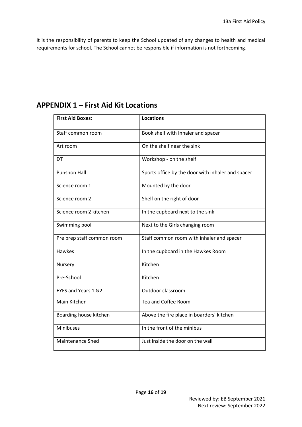It is the responsibility of parents to keep the School updated of any changes to health and medical requirements for school. The School cannot be responsible if information is not forthcoming.

| <b>First Aid Boxes:</b>    | <b>Locations</b>                                  |  |  |  |
|----------------------------|---------------------------------------------------|--|--|--|
| Staff common room          | Book shelf with Inhaler and spacer                |  |  |  |
| Art room                   | On the shelf near the sink                        |  |  |  |
| DT                         | Workshop - on the shelf                           |  |  |  |
| <b>Punshon Hall</b>        | Sports office by the door with inhaler and spacer |  |  |  |
| Science room 1             | Mounted by the door                               |  |  |  |
| Science room 2             | Shelf on the right of door                        |  |  |  |
| Science room 2 kitchen     | In the cupboard next to the sink                  |  |  |  |
| Swimming pool              | Next to the Girls changing room                   |  |  |  |
| Pre prep staff common room | Staff common room with inhaler and spacer         |  |  |  |
| <b>Hawkes</b>              | In the cupboard in the Hawkes Room                |  |  |  |
| Nursery                    | Kitchen                                           |  |  |  |
| Pre-School                 | Kitchen                                           |  |  |  |
| EYFS and Years 1 &2        | Outdoor classroom                                 |  |  |  |
| Main Kitchen               | Tea and Coffee Room                               |  |  |  |
| Boarding house kitchen     | Above the fire place in boarders' kitchen         |  |  |  |
| Minibuses                  | In the front of the minibus                       |  |  |  |
| <b>Maintenance Shed</b>    | Just inside the door on the wall                  |  |  |  |

# <span id="page-15-0"></span>**APPENDIX 1 – First Aid Kit Locations**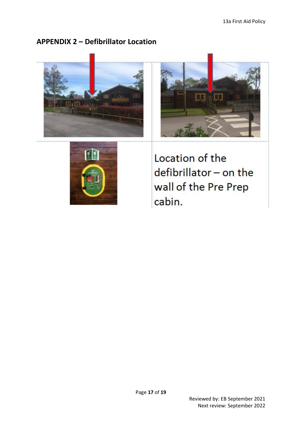# <span id="page-16-0"></span>**APPENDIX 2 – Defibrillator Location**







Location of the defibrillator - on the wall of the Pre Prep cabin.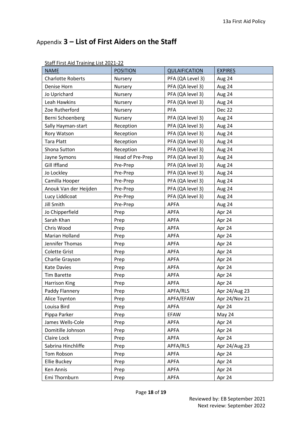# <span id="page-17-0"></span>Appendix **3 – List of First Aiders on the Staff**

| <u>Starf in St Alu Training List ZUZ I-ZZ</u> |                  |                      |                |
|-----------------------------------------------|------------------|----------------------|----------------|
| <b>NAME</b>                                   | <b>POSITION</b>  | <b>QULAIFICATION</b> | <b>EXPIRES</b> |
| <b>Charlotte Roberts</b>                      | Nursery          | PFA (QA Level 3)     | Aug 24         |
| Denise Horn                                   | Nursery          | PFA (QA level 3)     | Aug 24         |
| Jo Uprichard                                  | Nursery          | PFA (QA level 3)     | Aug 24         |
| Leah Hawkins                                  | Nursery          | PFA (QA level 3)     | Aug 24         |
| Zoe Rutherford                                | Nursery          | <b>PFA</b>           | <b>Dec 22</b>  |
| Berni Schoenberg                              | Nursery          | PFA (QA level 3)     | Aug 24         |
| Sally Hayman-start                            | Reception        | PFA (QA level 3)     | Aug 24         |
| Rory Watson                                   | Reception        | PFA (QA level 3)     | Aug 24         |
| <b>Tara Platt</b>                             | Reception        | PFA (QA level 3)     | Aug 24         |
| Shona Sutton                                  | Reception        | PFA (QA level 3)     | Aug 24         |
| Jayne Symons                                  | Head of Pre-Prep | PFA (QA level 3)     | Aug 24         |
| Gill Iffland                                  | Pre-Prep         | PFA (QA level 3)     | Aug 24         |
| Jo Lockley                                    | Pre-Prep         | PFA (QA level 3)     | Aug 24         |
| Camilla Hooper                                | Pre-Prep         | PFA (QA level 3)     | Aug 24         |
| Anouk Van der Heijden                         | Pre-Prep         | PFA (QA level 3)     | Aug 24         |
| Lucy Liddicoat                                | Pre-Prep         | PFA (QA level 3)     | Aug 24         |
| Jill Smith                                    | Pre-Prep         | <b>APFA</b>          | Aug 24         |
| Jo Chipperfield                               | Prep             | <b>APFA</b>          | Apr 24         |
| Sarah Khan                                    | Prep             | <b>APFA</b>          | Apr 24         |
| Chris Wood                                    | Prep             | <b>APFA</b>          | Apr 24         |
| Marian Holland                                | Prep             | <b>APFA</b>          | Apr 24         |
| Jennifer Thomas                               | Prep             | <b>APFA</b>          | Apr 24         |
| <b>Colette Grist</b>                          | Prep             | <b>APFA</b>          | Apr 24         |
| Charlie Grayson                               | Prep             | <b>APFA</b>          | Apr 24         |
| <b>Kate Davies</b>                            | Prep             | <b>APFA</b>          | Apr 24         |
| <b>Tim Barette</b>                            | Prep             | <b>APFA</b>          | Apr 24         |
| Harrison King                                 | Prep             | <b>APFA</b>          | Apr 24         |
| Paddy Flannery                                | Prep             | APFA/RLS             | Apr 24/Aug 23  |
| Alice Toynton                                 | Prep             | APFA/EFAW            | Apr 24/Nov 21  |
| Louisa Bird                                   | Prep             | <b>APFA</b>          | Apr 24         |
| Pippa Parker                                  | Prep             | <b>EFAW</b>          | May 24         |
| James Wells-Cole                              | Prep             | <b>APFA</b>          | Apr 24         |
| Domitille Johnson                             | Prep             | <b>APFA</b>          | Apr 24         |
| Claire Lock                                   | Prep             | <b>APFA</b>          | Apr 24         |
| Sabrina Hinchliffe                            | Prep             | APFA/RLS             | Apr 24/Aug 23  |
| Tom Robson                                    | Prep             | <b>APFA</b>          | Apr 24         |
| Ellie Buckey                                  | Prep             | <b>APFA</b>          | Apr 24         |
| Ken Annis                                     | Prep             | <b>APFA</b>          | Apr 24         |
| Emi Thornburn                                 | Prep             | <b>APFA</b>          | Apr 24         |

#### Staff First Aid Training List 2021-22